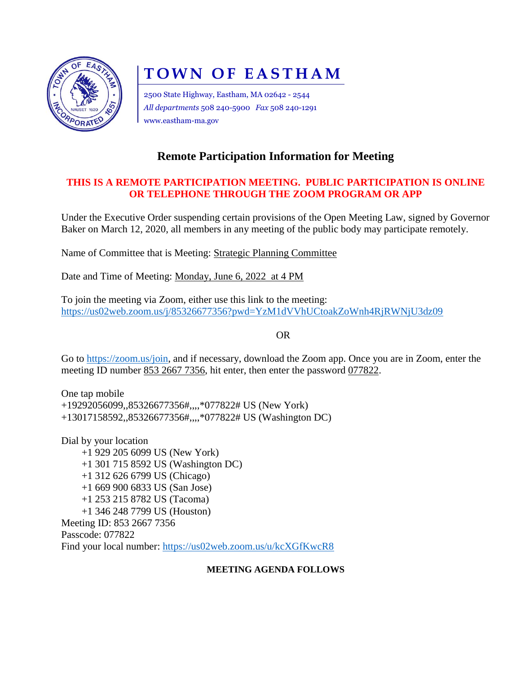

# **TOWN OF EASTHAM**

2500 State Highway, Eastham, MA 02642 - 2544 *All departments* 508 240-5900 *Fax* 508 240-1291 www.eastham-ma.gov

# **Remote Participation Information for Meeting**

## **THIS IS A REMOTE PARTICIPATION MEETING. PUBLIC PARTICIPATION IS ONLINE OR TELEPHONE THROUGH THE ZOOM PROGRAM OR APP**

Under the Executive Order suspending certain provisions of the Open Meeting Law, signed by Governor Baker on March 12, 2020, all members in any meeting of the public body may participate remotely.

Name of Committee that is Meeting: Strategic Planning Committee

Date and Time of Meeting: Monday, June 6, 2022 at 4 PM

To join the meeting via Zoom, either use this link to the meeting: <https://us02web.zoom.us/j/85326677356?pwd=YzM1dVVhUCtoakZoWnh4RjRWNjU3dz09>

OR

Go to [https://zoom.us/join,](https://zoom.us/join) and if necessary, download the Zoom app. Once you are in Zoom, enter the meeting ID number 853 2667 7356, hit enter, then enter the password 077822.

One tap mobile +19292056099,,85326677356#,,,,\*077822# US (New York) +13017158592,,85326677356#,,,,\*077822# US (Washington DC)

Dial by your location +1 929 205 6099 US (New York) +1 301 715 8592 US (Washington DC) +1 312 626 6799 US (Chicago) +1 669 900 6833 US (San Jose) +1 253 215 8782 US (Tacoma) +1 346 248 7799 US (Houston) Meeting ID: 853 2667 7356 Passcode: 077822 Find your local number:<https://us02web.zoom.us/u/kcXGfKwcR8>

### **MEETING AGENDA FOLLOWS**